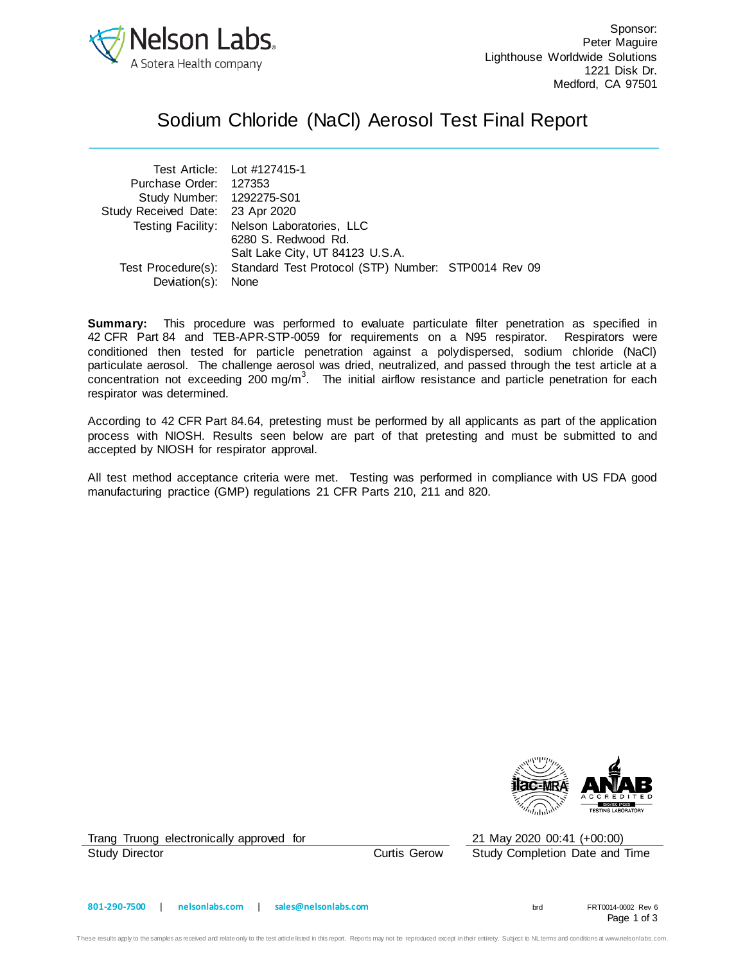

## Sodium Chloride (NaCl) Aerosol Test Final Report

|                                  | Test Article: Lot #127415-1                                            |  |
|----------------------------------|------------------------------------------------------------------------|--|
| Purchase Order: 127353           |                                                                        |  |
| Study Number: 1292275-S01        |                                                                        |  |
| Study Received Date: 23 Apr 2020 |                                                                        |  |
|                                  | Testing Facility: Nelson Laboratories, LLC                             |  |
|                                  | 6280 S. Redwood Rd.                                                    |  |
|                                  | Salt Lake City, UT 84123 U.S.A.                                        |  |
|                                  | Test Procedure(s): Standard Test Protocol (STP) Number: STP0014 Rev 09 |  |
| Deviation(s): None               |                                                                        |  |

**Summary:** This procedure was performed to evaluate particulate filter penetration as specified in 42 CFR Part 84 and TEB-APR-STP-0059 for requirements on a N95 respirator. Respirators were conditioned then tested for particle penetration against a polydispersed, sodium chloride (NaCl) particulate aerosol. The challenge aerosol was dried, neutralized, and passed through the test article at a concentration not exceeding 200 mg/m<sup>3</sup>. The initial airflow resistance and particle penetration for each respirator was determined.

According to 42 CFR Part 84.64, pretesting must be performed by all applicants as part of the application process with NIOSH. Results seen below are part of that pretesting and must be submitted to and accepted by NIOSH for respirator approval.

All test method acceptance criteria were met. Testing was performed in compliance with US FDA good manufacturing practice (GMP) regulations 21 CFR Parts 210, 211 and 820.



Trang Truong electronically approved for 21 May 2020 00:41 (+00:00)

Study Director Curtis Gerow Study Completion Date and Time

Page 1 of 3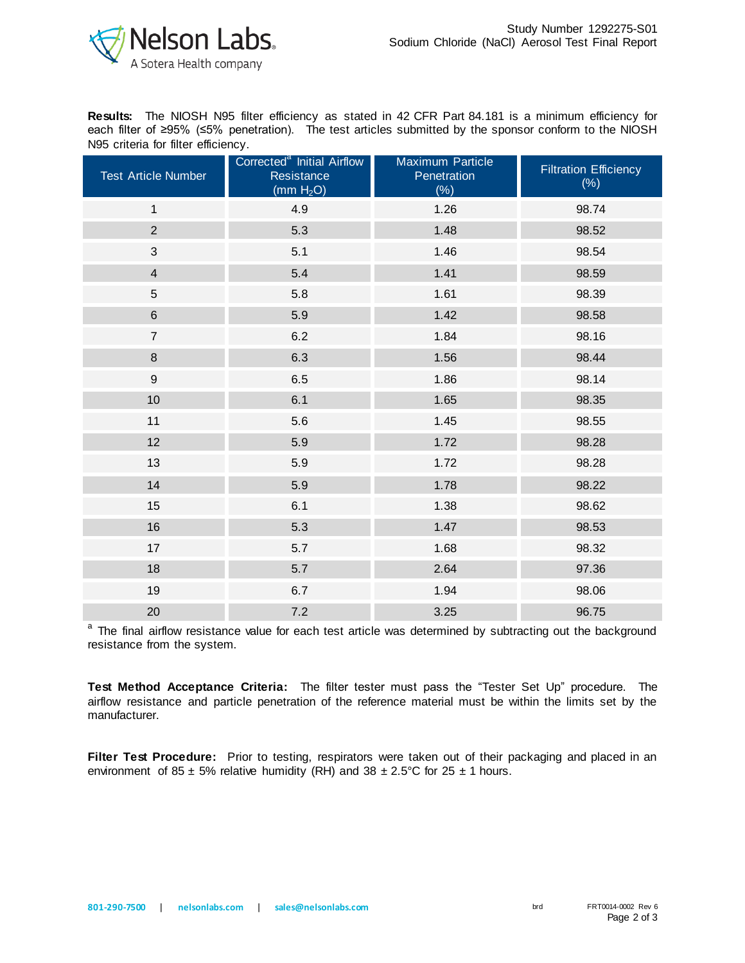

**Results:** The NIOSH N95 filter efficiency as stated in 42 CFR Part 84.181 is a minimum efficiency for each filter of ≥95% (≤5% penetration). The test articles submitted by the sponsor conform to the NIOSH N95 criteria for filter efficiency.

| <b>Test Article Number</b> | Corrected <sup>a</sup> Initial Airflow<br>Resistance<br>(mm H <sub>2</sub> O) | <b>Maximum Particle</b><br>Penetration<br>(%) | <b>Filtration Efficiency</b><br>$(\%)$ |
|----------------------------|-------------------------------------------------------------------------------|-----------------------------------------------|----------------------------------------|
| $\mathbf{1}$               | 4.9                                                                           | 1.26                                          | 98.74                                  |
| $\overline{2}$             | 5.3                                                                           | 1.48                                          | 98.52                                  |
| 3                          | 5.1                                                                           | 1.46                                          | 98.54                                  |
| $\overline{\mathbf{4}}$    | 5.4                                                                           | 1.41                                          | 98.59                                  |
| 5                          | 5.8                                                                           | 1.61                                          | 98.39                                  |
| $6\phantom{a}$             | 5.9                                                                           | 1.42                                          | 98.58                                  |
| $\overline{7}$             | 6.2                                                                           | 1.84                                          | 98.16                                  |
| 8                          | 6.3                                                                           | 1.56                                          | 98.44                                  |
| $\overline{9}$             | 6.5                                                                           | 1.86                                          | 98.14                                  |
| 10                         | 6.1                                                                           | 1.65                                          | 98.35                                  |
| 11                         | 5.6                                                                           | 1.45                                          | 98.55                                  |
| 12                         | 5.9                                                                           | 1.72                                          | 98.28                                  |
| 13                         | 5.9                                                                           | 1.72                                          | 98.28                                  |
| 14                         | 5.9                                                                           | 1.78                                          | 98.22                                  |
| 15                         | 6.1                                                                           | 1.38                                          | 98.62                                  |
| 16                         | 5.3                                                                           | 1.47                                          | 98.53                                  |
| 17                         | 5.7                                                                           | 1.68                                          | 98.32                                  |
| 18                         | 5.7                                                                           | 2.64                                          | 97.36                                  |
| 19                         | 6.7                                                                           | 1.94                                          | 98.06                                  |
| 20                         | 7.2                                                                           | 3.25                                          | 96.75                                  |

<sup>a</sup> The final airflow resistance value for each test article was determined by subtracting out the background resistance from the system.

**Test Method Acceptance Criteria:** The filter tester must pass the "Tester Set Up" procedure. The airflow resistance and particle penetration of the reference material must be within the limits set by the manufacturer.

**Filter Test Procedure:** Prior to testing, respirators were taken out of their packaging and placed in an environment of 85  $\pm$  5% relative humidity (RH) and 38  $\pm$  2.5°C for 25  $\pm$  1 hours.